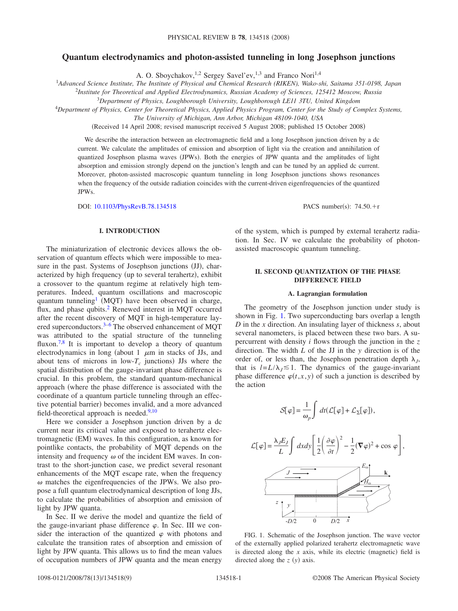# **Quantum electrodynamics and photon-assisted tunneling in long Josephson junctions**

A. O. Sboychakov,<sup>1,2</sup> Sergey Savel'ev,<sup>1,3</sup> and Franco Nori<sup>1,4</sup>

1 *Advanced Science Institute, The Institute of Physical and Chemical Research (RIKEN), Wako-shi, Saitama 351-0198, Japan*

2 *Institute for Theoretical and Applied Electrodynamics, Russian Academy of Sciences, 125412 Moscow, Russia*

<sup>3</sup>*Department of Physics, Loughborough University, Loughborough LE11 3TU, United Kingdom*

<sup>4</sup>*Department of Physics, Center for Theoretical Physics, Applied Physics Program, Center for the Study of Complex Systems,*

*The University of Michigan, Ann Arbor, Michigan 48109-1040, USA*

Received 14 April 2008; revised manuscript received 5 August 2008; published 15 October 2008-

We describe the interaction between an electromagnetic field and a long Josephson junction driven by a dc current. We calculate the amplitudes of emission and absorption of light via the creation and annihilation of quantized Josephson plasma waves (JPWs). Both the energies of JPW quanta and the amplitudes of light absorption and emission strongly depend on the junction's length and can be tuned by an applied dc current. Moreover, photon-assisted macroscopic quantum tunneling in long Josephson junctions shows resonances when the frequency of the outside radiation coincides with the current-driven eigenfrequencies of the quantized JPWs.

DOI: [10.1103/PhysRevB.78.134518](http://dx.doi.org/10.1103/PhysRevB.78.134518)

### **I. INTRODUCTION**

The miniaturization of electronic devices allows the observation of quantum effects which were impossible to measure in the past. Systems of Josephson junctions (JJ), characterized by high frequency (up to several terahertz), exhibit a crossover to the quantum regime at relatively high temperatures. Indeed, quantum oscillations and macroscopic quantum tunneling<sup>1</sup> (MQT) have been observed in charge, flux, and phase qubits.<sup>2</sup> Renewed interest in MQT occurred after the recent discovery of MQT in high-temperature lay-ered superconductors.<sup>3–[6](#page-8-3)</sup> The observed enhancement of MQT was attributed to the spatial structure of the tunneling fluxon.<sup>7,[8](#page-8-5)</sup> It is important to develop a theory of quantum electrodynamics in long (about 1  $\mu$ m in stacks of JJs, and about tens of microns in  $low-T_c$  junctions) JJs where the spatial distribution of the gauge-invariant phase difference is crucial. In this problem, the standard quantum-mechanical approach (where the phase difference is associated with the coordinate of a quantum particle tunneling through an effective potential barrier) becomes invalid, and a more advanced field-theoretical approach is needed. $9,10$  $9,10$ 

Here we consider a Josephson junction driven by a dc current near its critical value and exposed to terahertz electromagnetic (EM) waves. In this configuration, as known for pointlike contacts, the probability of MQT depends on the intensity and frequency  $\omega$  of the incident EM waves. In contrast to the short-junction case, we predict several resonant enhancements of the MQT escape rate, when the frequency  $\omega$  matches the eigenfrequencies of the JPWs. We also propose a full quantum electrodynamical description of long JJs, to calculate the probabilities of absorption and emission of light by JPW quanta.

In Sec. II we derive the model and quantize the field of the gauge-invariant phase difference  $\varphi$ . In Sec. III we consider the interaction of the quantized  $\varphi$  with photons and calculate the transition rates of absorption and emission of light by JPW quanta. This allows us to find the mean values of occupation numbers of JPW quanta and the mean energy

PACS number(s):  $74.50.+r$ 

of the system, which is pumped by external terahertz radiation. In Sec. IV we calculate the probability of photonassisted macroscopic quantum tunneling.

### **II. SECOND QUANTIZATION OF THE PHASE DIFFERENCE FIELD**

#### **A. Lagrangian formulation**

The geometry of the Josephson junction under study is shown in Fig. [1.](#page-0-0) Two superconducting bars overlap a length *D* in the *x* direction. An insulating layer of thickness *s*, about several nanometers, is placed between these two bars. A supercurrent with density *i* flows through the junction in the *z* direction. The width *L* of the JJ in the *y* direction is of the order of, or less than, the Josephson penetration depth  $\lambda_i$ , that is  $l = L/\lambda_I \leq 1$ . The dynamics of the gauge-invariant phase difference  $\varphi(t, x, y)$  of such a junction is described by the action

<span id="page-0-1"></span>

<span id="page-0-0"></span>FIG. 1. Schematic of the Josephson junction. The wave vector of the externally applied polarized terahertz electromagnetic wave is directed along the  $x$  axis, while its electric (magnetic) field is directed along the  $z(y)$  axis.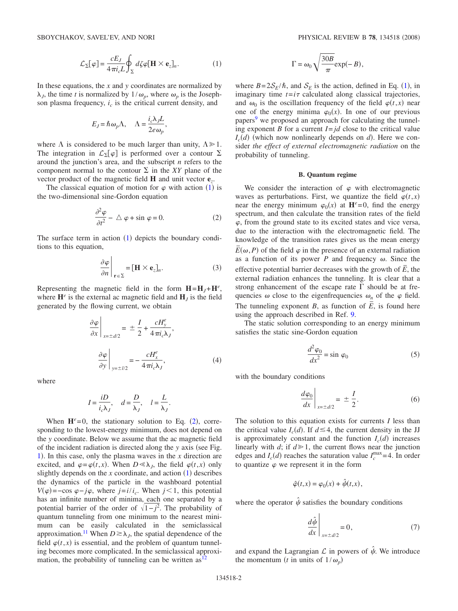$$
\mathcal{L}_{\Sigma}[\varphi] = \frac{cE_J}{4\pi i_c L} \oint_{\Sigma} d\zeta \varphi [\mathbf{H} \times \mathbf{e}_z]_n.
$$
 (1)

In these equations, the *x* and *y* coordinates are normalized by  $\lambda_j$ , the time *t* is normalized by  $1/\omega_p$ , where  $\omega_p$  is the Josephson plasma frequency,  $i_c$  is the critical current density, and

$$
E_J = \hbar \omega_p \Lambda, \quad \Lambda = \frac{i_c \lambda_J L}{2e \omega_p},
$$

where  $\Lambda$  is considered to be much larger than unity,  $\Lambda \geq 1$ . The integration in  $\mathcal{L}_{\Sigma}[\varphi]$  is performed over a contour  $\Sigma$ around the junction's area, and the subscript *n* refers to the component normal to the contour  $\Sigma$  in the *XY* plane of the vector product of the magnetic field **H** and unit vector **e***z*.

The classical equation of motion for  $\varphi$  with action ([1](#page-0-1)) is the two-dimensional sine-Gordon equation

$$
\frac{\partial^2 \varphi}{\partial t^2} - \triangle \varphi + \sin \varphi = 0.
$$
 (2)

<span id="page-1-0"></span>The surface term in action  $(1)$  $(1)$  $(1)$  depicts the boundary conditions to this equation,

$$
\left. \frac{\partial \varphi}{\partial n} \right|_{\mathbf{r} \in \Sigma} = [\mathbf{H} \times \mathbf{e}_z]_n. \tag{3}
$$

Representing the magnetic field in the form  $H = H_J + H^e$ , where  $\mathbf{H}^e$  is the external ac magnetic field and  $\mathbf{H}_I$  is the field generated by the flowing current, we obtain

$$
\frac{\partial \varphi}{\partial x}\Big|_{x=\pm d/2} = \pm \frac{I}{2} + \frac{cH_y^e}{4\pi i_c \lambda_J},
$$

$$
\frac{\partial \varphi}{\partial y}\Big|_{y=\pm l/2} = -\frac{cH_x^e}{4\pi i_c \lambda_J},
$$
(4)

where

$$
I = \frac{iD}{i_c \lambda_J}, \quad d = \frac{D}{\lambda_J}, \quad l = \frac{L}{\lambda_J}.
$$

When  $H^e = 0$ , the stationary solution to Eq. ([2](#page-1-0)), corresponding to the lowest-energy minimum, does not depend on the *y* coordinate. Below we assume that the ac magnetic field of the incident radiation is directed along the *y* axis (see Fig. [1](#page-0-0)). In this case, only the plasma waves in the  $x$  direction are excited, and  $\varphi = \varphi(t, x)$ . When  $D \le \lambda_j$ , the field  $\varphi(t, x)$  only slightly depends on the  $x$  coordinate, and action  $(1)$  $(1)$  $(1)$  describes the dynamics of the particle in the washboard potential  $V(\varphi) = -\cos \varphi - j\varphi$ , where  $j = i/i_c$ . When  $j < 1$ , this potential has an infinite number of minima, each one separated by a potential barrier of the order of  $\sqrt{1-j^2}$ . The probability of quantum tunneling from one minimum to the nearest minimum can be easily calculated in the semiclassical approximation.<sup>11</sup> When  $D \ge \lambda_j$ , the spatial dependence of the field  $\varphi(t,x)$  is essential, and the problem of quantum tunneling becomes more complicated. In the semiclassical approximation, the probability of tunneling can be written  $as<sup>12</sup>$ 

$$
\Gamma = \omega_0 \sqrt{\frac{30B}{\pi}} \exp(-B),
$$

where  $B = 2S_E/\hbar$ , and  $S_E$  is the action, defined in Eq. ([1](#page-0-1)), in imaginary time  $t = i\tau$  calculated along classical trajectories, and  $\omega_0$  is the oscillation frequency of the field  $\varphi(t,x)$  near one of the energy minima  $\varphi_0(x)$ . In one of our previous papers<sup>9</sup> we proposed an approach for calculating the tunneling exponent *B* for a current  $I = id$  close to the critical value  $I_c(d)$  (which now nonlinearly depends on *d*). Here we consider *the effect of external electromagnetic radiation* on the probability of tunneling.

#### **B. Quantum regime**

We consider the interaction of  $\varphi$  with electromagnetic waves as perturbations. First, we quantize the field  $\varphi(t, x)$ near the energy minimum  $\varphi_0(x)$  at  $\mathbf{H}^e = 0$ , find the energy spectrum, and then calculate the transition rates of the field  $\varphi$ , from the ground state to its excited states and vice versa, due to the interaction with the electromagnetic field. The knowledge of the transition rates gives us the mean energy  $\overline{E}(\omega, P)$  of the field  $\varphi$  in the presence of an external radiation as a function of its power  $P$  and frequency  $\omega$ . Since the effective potential barrier decreases with the growth of  $\vec{E}$ , the external radiation enhances the tunneling. It is clear that a strong enhancement of the escape rate  $\Gamma$  should be at frequencies  $\omega$  close to the eigenfrequencies  $\omega_n$  of the  $\varphi$  field. The tunneling exponent *B*, as function of  $\overline{E}$ , is found here using the approach described in Ref. [9.](#page-8-6)

The static solution corresponding to an energy minimum satisfies the static sine-Gordon equation

$$
\frac{d^2\varphi_0}{dx^2} = \sin\varphi_0\tag{5}
$$

with the boundary conditions

$$
\left. \frac{d\varphi_0}{dx} \right|_{x = \pm d/2} = \pm \frac{I}{2}.
$$
 (6)

The solution to this equation exists for currents *I* less than the critical value  $I_c(d)$ . If  $d \leq 4$ , the current density in the JJ is approximately constant and the function  $I_c(d)$  increases linearly with  $d$ ; if  $d \ge 1$ , the current flows near the junction edges and  $I_c(d)$  reaches the saturation value  $I_c^{\text{max}}=4$ . In order to quantize  $\varphi$  we represent it in the form

$$
\hat{\varphi}(t,x) = \varphi_0(x) + \hat{\psi}(t,x),
$$

where the operator  $\hat{\psi}$  satisfies the boundary conditions

$$
\left. \frac{d\hat{\psi}}{dx} \right|_{x = \pm d/2} = 0,\tag{7}
$$

and expand the Lagrangian  $\mathcal L$  in powers of  $\hat \psi$ . We introduce the momentum (*t* in units of  $1/\omega_p$ )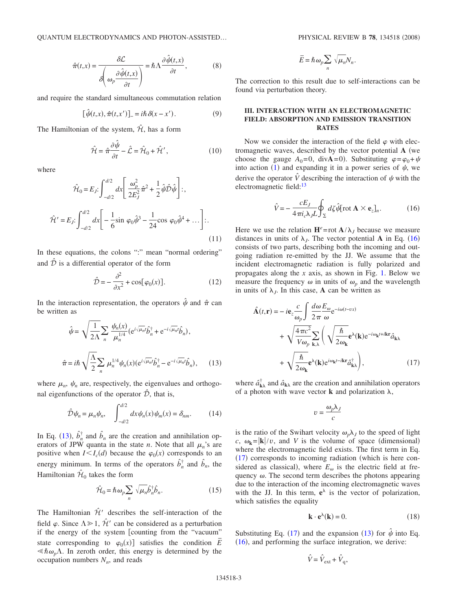**OUANTUM ELECTRODYNAMICS AND PHOTON-ASSISTED...** 

$$
\hat{\pi}(t,x) = \frac{\partial \mathcal{L}}{\partial \left(\omega_p \frac{\partial \hat{\psi}(t,x)}{\partial t}\right)} = \hbar \Lambda \frac{\partial \hat{\psi}(t,x)}{\partial t},
$$
(8)

and require the standard simultaneous commutation relation

$$
[\hat{\psi}(t,x),\hat{\pi}(t,x')] = i\hbar \,\delta(x-x'). \tag{9}
$$

The Hamiltonian of the system,  $\hat{\mathcal{H}}$ , has a form

$$
\hat{\mathcal{H}} = \hat{\pi} \frac{\partial \hat{\psi}}{\partial t} - \hat{\mathcal{L}} = \hat{\mathcal{H}}_0 + \hat{\mathcal{H}}',\tag{10}
$$

where

<span id="page-2-5"></span>
$$
\hat{\mathcal{H}}_0 = E_j: \int_{-d/2}^{d/2} dx \left[ \frac{\omega_p^2}{2E_j^2} \hat{\pi}^2 + \frac{1}{2} \hat{\psi} \hat{\mathcal{D}} \hat{\psi} \right];
$$
\n
$$
\hat{\mathcal{H}}' = E_j: \int_{-d/2}^{d/2} dx \left[ -\frac{1}{6} \sin \varphi_0 \hat{\psi}^3 - \frac{1}{24} \cos \varphi_0 \hat{\psi}^4 + \dots \right];
$$
\n(11)

In these equations, the colons ":" mean "normal ordering" and  $\hat{\mathcal{D}}$  is a differential operator of the form

$$
\hat{\mathcal{D}} = -\frac{\partial^2}{\partial x^2} + \cos[\varphi_0(x)].
$$
\n(12)

In the interaction representation, the operators  $\hat{\psi}$  and  $\hat{\pi}$  can be written as

<span id="page-2-0"></span>
$$
\hat{\psi} = \sqrt{\frac{1}{2\Lambda}} \sum_{n} \frac{\psi_n(x)}{\mu_n^{1/4}} (e^{i\sqrt{\mu_n}t} \hat{b}_n^{\dagger} + e^{-i\sqrt{\mu_n}t} \hat{b}_n),
$$

$$
\hat{\pi} = i\hbar \sqrt{\frac{\Lambda}{2}} \sum_{n} \mu_n^{1/4} \psi_n(x) (e^{i\sqrt{\mu_n}t} \hat{b}_n^{\dagger} - e^{-i\sqrt{\mu_n}t} \hat{b}_n), \quad (13)
$$

where  $\mu_n$ ,  $\psi_n$  are, respectively, the eigenvalues and orthogonal eigenfunctions of the operator  $\hat{\mathcal{D}}$ , that is,

$$
\hat{\mathcal{D}}\psi_n = \mu_n \psi_n, \quad \int_{-d/2}^{d/2} dx \psi_n(x) \psi_m(x) = \delta_{nm}.
$$
 (14)

<span id="page-2-6"></span>In Eq. ([13](#page-2-0)),  $\hat{b}_n^{\dagger}$  and  $\hat{b}_n$  are the creation and annihilation operators of JPW quanta in the state *n*. Note that all  $\mu_n$ 's are positive when  $I \leq I_c(d)$  because the  $\varphi_0(x)$  corresponds to an energy minimum. In terms of the operators  $\hat{b}_n^{\dagger}$  and  $\hat{b}_n$ , the Hamiltonian  $\hat{\mathcal{H}}_0$  takes the form

$$
\hat{\mathcal{H}}_0 = \hbar \,\omega_p \sum_n \sqrt{\mu_n} \hat{b}_n^{\dagger} \hat{b}_n. \tag{15}
$$

The Hamiltonian  $\hat{\mathcal{H}}'$  describes the self-interaction of the field  $\varphi$ . Since  $\Lambda \geq 1$ ,  $\hat{\mathcal{H}}'$  can be considered as a perturbation if the energy of the system [counting from the "vacuum" state corresponding to  $\varphi_0(x)$ ] satisfies the condition  $\overline{E}$  $\ll h\omega_p\Lambda$ . In zeroth order, this energy is determined by the occupation numbers  $N_n$ , and reads

$$
\overline{E} = \hbar \omega_p \sum_n \sqrt{\mu_n} N_n.
$$

The correction to this result due to self-interactions can be found via perturbation theory.

# **III. INTERACTION WITH AN ELECTROMAGNETIC FIELD: ABSORPTION AND EMISSION TRANSITION RATES**

Now we consider the interaction of the field  $\varphi$  with electromagnetic waves, described by the vector potential A (we choose the gauge  $A_0=0$ , div $\mathbf{A}=0$ ). Substituting  $\varphi = \varphi_0 + \psi$ into action ([1](#page-0-1)) and expanding it in a power series of  $\psi$ , we derive the operator  $\hat{V}$  describing the interaction of  $\psi$  with the electromagnetic field:<sup>13</sup>

$$
\hat{V} = -\frac{cE_J}{4\pi i_c \lambda_J L} \oint_{\Sigma} d\zeta \hat{\psi} [\text{rot } \mathbf{A} \times \mathbf{e}_z]_n.
$$
 (16)

<span id="page-2-1"></span>Here we use the relation  $\mathbf{H}^e$ =rot  $\mathbf{A}/\lambda_I$  because we measure distances in units of  $\lambda_j$ . The vector potential **A** in Eq. ([16](#page-2-1)) consists of two parts, describing both the incoming and outgoing radiation re-emitted by the JJ. We assume that the incident electromagnetic radiation is fully polarized and propagates along the *x* axis, as shown in Fig. [1.](#page-0-0) Below we measure the frequency  $\omega$  in units of  $\omega_p$  and the wavelength in units of  $\lambda_j$ . In this case, **A** can be written as

<span id="page-2-2"></span>
$$
\hat{\mathbf{A}}(t,\mathbf{r}) = -ie_z \frac{c}{\omega_p} \int \frac{d\omega}{2\pi} \frac{E_{\omega}}{\omega} e^{-i\omega(t-\nu x)} + \sqrt{\frac{4\pi c^2}{V\omega_p}} \sum_{\mathbf{k},\lambda} \left( \sqrt{\frac{\hbar}{2\omega_{\mathbf{k}}}} e^{\lambda}(\mathbf{k}) e^{-i\omega_{\mathbf{k}}t + i\mathbf{k}\mathbf{r}} \hat{a}_{\mathbf{k}\lambda} + \sqrt{\frac{\hbar}{2\omega_{\mathbf{k}}}} e^{\lambda}(\mathbf{k}) e^{i\omega_{\mathbf{k}}t - i\mathbf{k}\mathbf{r}} \hat{a}_{\mathbf{k}\lambda}^{\dagger} \right),
$$
\n(17)

where  $\hat{a}^{\dagger}_{\mathbf{k}\lambda}$  and  $\hat{a}_{\mathbf{k}\lambda}$  are the creation and annihilation operators of a photon with wave vector **k** and polarization  $\lambda$ ,

$$
v=\frac{\omega_p\lambda_J}{c}
$$

is the ratio of the Swihart velocity  $\omega_p \lambda_j$  to the speed of light  $c$ ,  $\omega_{\mathbf{k}}=|\mathbf{k}|/v$ , and *V* is the volume of space (dimensional) where the electromagnetic field exists. The first term in Eq. ([17](#page-2-2)) corresponds to incoming radiation (which is here considered as classical), where  $E_{\omega}$  is the electric field at frequency  $\omega$ . The second term describes the photons appearing due to the interaction of the incoming electromagnetic waves with the JJ. In this term,  $e^{\lambda}$  is the vector of polarization, which satisfies the equality

$$
\mathbf{k} \cdot \mathbf{e}^{\lambda}(\mathbf{k}) = 0. \tag{18}
$$

<span id="page-2-4"></span><span id="page-2-3"></span>Substituting Eq. ([17](#page-2-2)) and the expansion ([13](#page-2-0)) for  $\hat{\psi}$  into Eq. ([16](#page-2-1)), and performing the surface integration, we derive:

$$
\hat{V} = \hat{V}_{ext} + \hat{V}_q,
$$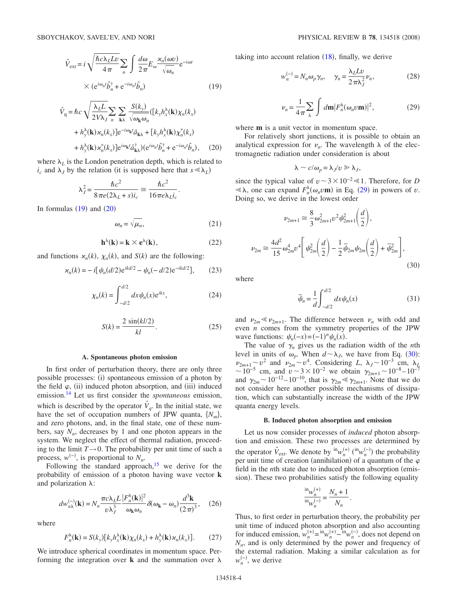$$
\hat{V}_{ext} = i \sqrt{\frac{\hbar c \lambda_L L v}{4 \pi}} \sum_n \int \frac{d\omega}{2 \pi} E_{\omega} \frac{\varkappa_n(\omega v)}{\sqrt{\omega_n}} e^{-i\omega t}
$$
\n
$$
\times (e^{i\omega_n t} \hat{b}_n^{\dagger} + e^{-i\omega_n t} \hat{b}_n)
$$
\n(19)

<span id="page-3-0"></span>
$$
\hat{V}_q = \hbar c \sqrt{\frac{\lambda_L L}{2V\lambda_J}} \sum_n \sum_{\mathbf{k}\lambda} \frac{S(k_y)}{\sqrt{\omega_{\mathbf{k}}\omega_n}} ([k_y h_x^{\lambda}(\mathbf{k}) \chi_n(k_x) \n+ h_y^{\lambda}(\mathbf{k}) \varkappa_n(k_x)] e^{-i\omega_{\mathbf{k}}t} \hat{a}_{\mathbf{k}\lambda} + [k_y h_x^{\lambda}(\mathbf{k}) \chi_n^*(k_x) \n+ h_y^{\lambda}(\mathbf{k}) \varkappa_n^*(k_x)] e^{i\omega_{\mathbf{k}}t} \hat{a}_{\mathbf{k}\lambda}^{\dagger} (e^{i\omega_n t} \hat{b}_n^{\dagger} + e^{-i\omega_n t} \hat{b}_n), \quad (20)
$$

where  $\lambda_L$  is the London penetration depth, which is related to  $i_c$  and  $\lambda_j$  by the relation (it is supposed here that  $s \ll \lambda_L$ )

$$
\lambda_J^2 = \frac{\hbar c^2}{8\pi e (2\lambda_L + s)i_c} \approx \frac{\hbar c^2}{16\pi e \lambda_L i_c}.
$$

In formulas  $(19)$  $(19)$  $(19)$  and  $(20)$  $(20)$  $(20)$ 

$$
\omega_n = \sqrt{\mu_n},\tag{21}
$$

$$
\mathbf{h}^{\lambda}(\mathbf{k}) = \mathbf{k} \times \mathbf{e}^{\lambda}(\mathbf{k}),\tag{22}
$$

and functions  $\varkappa_n(k)$ ,  $\chi_n(k)$ , and  $S(k)$  are the following:

$$
\varkappa_n(k) = -i[\psi_n(d/2)e^{ikd/2} - \psi_n(-d/2)e^{-ikd/2}],\qquad(23)
$$

$$
\chi_n(k) = \int_{-d/2}^{d/2} dx \psi_n(x) e^{ikx},
$$
 (24)

$$
S(k) = \frac{2\sin(kl/2)}{kl}.\tag{25}
$$

#### **A. Spontaneous photon emission**

In first order of perturbation theory, there are only three possible processes: (i) spontaneous emission of a photon by the field  $\varphi$ , (ii) induced photon absorption, and (iii) induced emission[.14](#page-8-11) Let us first consider the *spontaneous* emission, which is described by the operator  $\hat{V}_q$ . In the initial state, we have the set of occupation numbers of JPW quanta,  $\{N_m\}$ , and zero photons, and, in the final state, one of these numbers, say  $N_n$ , decreases by 1 and one photon appears in the system. We neglect the effect of thermal radiation, proceeding to the limit  $T \rightarrow 0$ . The probability per unit time of such a process,  $w^{(-)}$ , is proportional to  $N_n$ .

Following the standard approach, $15$  we derive for the probability of emission of a photon having wave vector **k** and polarization  $\lambda$ :

$$
dw_{n\lambda}^{(-)}(\mathbf{k}) = N_n \frac{\pi c \lambda_L L}{v \lambda_J^3} \frac{|F_n^{\lambda}(\mathbf{k})|^2}{\omega_{\mathbf{k}} \omega_n} \delta(\omega_{\mathbf{k}} - \omega_n) \frac{d^3 \mathbf{k}}{(2\pi)^3}, \quad (26)
$$

<span id="page-3-3"></span>where

$$
F_n^{\lambda}(\mathbf{k}) = S(k_y)[k_y h_x^{\lambda}(\mathbf{k}) \chi_n(k_x) + h_y^{\lambda}(\mathbf{k}) \varkappa_n(k_x)].
$$
 (27)

We introduce spherical coordinates in momentum space. Performing the integration over  $\bf{k}$  and the summation over  $\lambda$  taking into account relation  $(18)$  $(18)$  $(18)$ , finally, we derive

$$
w_n^{(-)} = N_n \omega_p \gamma_n, \quad \gamma_n = \frac{\lambda_L L v}{2 \pi \lambda_j^2} \nu_n,\tag{28}
$$

$$
\nu_n = \frac{1}{4\pi} \sum_{\lambda} \int d\mathbf{m} |F_n^{\lambda}(\omega_n v \mathbf{m})|^2, \qquad (29)
$$

<span id="page-3-1"></span>where **m** is a unit vector in momentum space.

For relatively short junctions, it is possible to obtain an analytical expression for  $\nu_n$ . The wavelength  $\lambda$  of the electromagnetic radiation under consideration is about

$$
\lambda \sim c/\omega_p = \lambda_J/v \gg \lambda_J,
$$

since the typical value of  $v \sim 3 \times 10^{-2} \ll 1$ . Therefore, for *D*  $\ll \lambda$ , one can expand  $F_n^{\lambda}(\omega_n v \mathbf{m})$  in Eq. ([29](#page-3-1)) in powers of *v*. Doing so, we derive in the lowest order

<span id="page-3-2"></span>
$$
\nu_{2m+1} \approx \frac{8}{3} \omega_{2m+1}^2 \upsilon^2 \psi_{2m+1}^2 \left(\frac{d}{2}\right),
$$
  

$$
\nu_{2m} \approx \frac{4d^2}{15} \omega_{2m}^4 \upsilon^4 \left[\psi_{2m}^2 \left(\frac{d}{2}\right) - \frac{1}{2} \bar{\psi}_{2m} \psi_{2m} \left(\frac{d}{2}\right) + \bar{\psi}_{2m}^2\right],
$$
(30)

where

$$
\bar{\psi}_n = \frac{1}{d} \int_{-d/2}^{d/2} dx \psi_n(x)
$$
 (31)

and  $\nu_{2m} \ll \nu_{2m+1}$ . The difference between  $\nu_n$  with odd and even *n* comes from the symmetry properties of the JPW wave functions:  $\psi_n(-x) = (-1)^n \psi_n(x)$ .

The value of  $\gamma_n$  gives us the radiation width of the *n*th level in units of  $\omega_p$ . When  $d \sim \lambda_j$ , we have from Eq. ([30](#page-3-2)):  $\nu_{2m+1} \sim v^2$  and  $\nu_{2m} \sim v^4$ . Considering *L*,  $\lambda_J \sim 10^{-3}$  cm,  $\lambda_L$ ~10<sup>-5</sup> cm, and  $v \sim 3 \times 10^{-2}$  we obtain  $\gamma_{2m+1} \sim 10^{-8} - 10^{-7}$ and  $\gamma_{2m} \sim 10^{-12} - 10^{-10}$ , that is  $\gamma_{2m} \ll \gamma_{2m+1}$ . Note that we do not consider here another possible mechanisms of dissipation, which can substantially increase the width of the JPW quanta energy levels.

### **B. Induced photon absorption and emission**

Let us now consider processes of *induced* photon absorption and emission. These two processes are determined by the operator  $\hat{V}_{ext}$ . We denote by  ${}^{in}w_n^{(+)}$  ( ${}^{in}w_n^{(-)}$ ) the probability per unit time of creation (annihilation) of a quantum of the  $\varphi$ field in the *n*th state due to induced photon absorption (emission). These two probabilities satisfy the following equality

$$
\frac{\ln_{W_n^{(+)}}}{\ln_{W_n^{(-)}}} = \frac{N_n + 1}{N_n}
$$

.

Thus, to first order in perturbation theory, the probability per unit time of induced photon absorption and also accounting for induced emission,  $w_n^{(+)} = {}^{\text{in}} w_n^{(+)} - {}^{\text{in}} w_n^{(-)}$ , does not depend on  $N_n$ , and is only determined by the power and frequency of the external radiation. Making a similar calculation as for  $w_n^{(-)}$ , we derive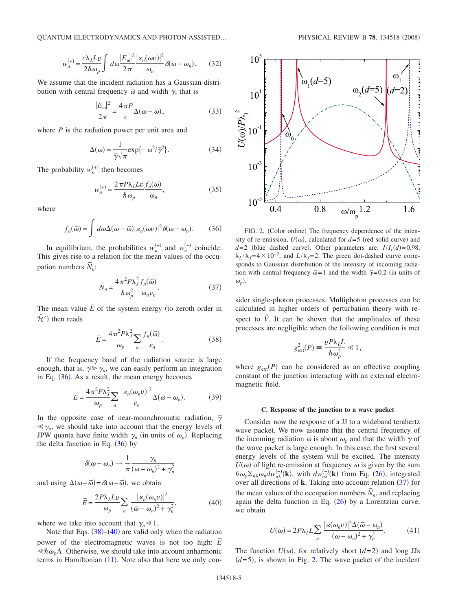QUANTUM ELECTRODYNAMICS AND PHOTON-ASSISTED... PHYSICAL REVIEW B 78, 134518 (2008)

$$
w_n^{(+)} = \frac{c\lambda_L L v}{2\hbar \omega_p} \int d\omega \frac{|E_{\omega}|^2}{2\pi} \frac{|\varkappa_n(\omega v)|^2}{\omega_n} \delta(\omega - \omega_n). \tag{32}
$$

We assume that the incident radiation has a Gaussian distribution with central frequency  $\overline{\omega}$  and width  $\overline{\gamma}$ , that is

$$
\frac{|E_{\omega}|^2}{2\pi} = \frac{4\pi P}{c} \Delta(\omega - \bar{\omega}),
$$
\n(33)

where *P* is the radiation power per unit area and

$$
\Delta(\omega) = \frac{1}{\overline{\gamma}\sqrt{\pi}} \exp\{-\omega^2/\overline{\gamma}^2\}.
$$
 (34)

The probability  $w_n^{(+)}$  then becomes

$$
w_n^{(+)} = \frac{2\pi P\lambda_L L v}{\hbar \omega_p} \frac{f_n(\bar{\omega})}{\omega_n},
$$
\n(35)

where

$$
f_n(\bar{\omega}) = \int d\omega \Delta(\omega - \bar{\omega}) |\varkappa_n(\omega v)|^2 \delta(\omega - \omega_n).
$$
 (36)

<span id="page-4-0"></span>In equilibrium, the probabilities  $w_n^{(+)}$  and  $w_n^{(-)}$  coincide. This gives rise to a relation for the mean values of the occupation numbers  $\bar{N}_n$ :

$$
\bar{N}_n = \frac{4\pi^2 P \lambda_J^2 f_n(\bar{\omega})}{\hbar \omega_p^2} .
$$
\n(37)

<span id="page-4-3"></span>The mean value  $\overline{E}$  of the system energy (to zeroth order in  $\hat{\mathcal{H}}'$ ) then reads

$$
\overline{E} = \frac{4\pi^2 P \lambda_J^2}{\omega_p} \sum_n \frac{f_n(\overline{\omega})}{\nu_n}.
$$
\n(38)

<span id="page-4-1"></span>If the frequency band of the radiation source is large enough, that is,  $\overline{\gamma} \gg \gamma_n$ , we can easily perform an integration in Eq.  $(36)$  $(36)$  $(36)$ . As a result, the mean energy becomes

$$
\overline{E} = \frac{4\pi^2 P \lambda_J^2}{\omega_p} \sum_n \frac{|\varkappa_n(\omega_n v)|^2}{\nu_n} \Delta(\overline{\omega} - \omega_n).
$$
 (39)

<span id="page-4-5"></span>In the opposite case of near-monochromatic radiation,  $\bar{\gamma}$  $\ll \gamma_n$ , we should take into account that the energy levels of JPW quanta have finite width  $\gamma_n$  (in units of  $\omega_p$ ). Replacing the delta function in Eq.  $(36)$  $(36)$  $(36)$  by

$$
\delta(\omega-\omega_n)\rightarrow\frac{1}{\pi}\frac{\gamma_n}{(\omega-\omega_n)^2+\gamma_n^2}
$$

and using  $\Delta(\omega - \overline{\omega}) = \delta(\omega - \overline{\omega})$ , we obtain

$$
\overline{E} = \frac{2P\lambda_L L v}{\omega_p} \sum_n \frac{|\varkappa_n(\omega_n v)|^2}{(\overline{\omega} - \omega_n)^2 + \gamma_n^2},\tag{40}
$$

<span id="page-4-2"></span>where we take into account that  $\gamma_n \ll 1$ .

Note that Eqs.  $(38)$  $(38)$  $(38)$ – $(40)$  $(40)$  $(40)$  are valid only when the radiation power of the electromagnetic waves is not too high:  $\overline{E}$  $\leq \hbar \omega_p \Lambda$ . Otherwise, we should take into account anharmonic terms in Hamiltonian  $(11)$  $(11)$  $(11)$ . Note also that here we only con-

<span id="page-4-4"></span>

FIG. 2. (Color online) The frequency dependence of the intensity of re-emission,  $U(\omega)$ , calculated for  $d=5$  (red solid curve) and  $d=2$  (blue dashed curve). Other parameters are:  $I/I_c(d) = 0.98$ ,  $\lambda_L/\lambda_J = 4 \times 10^{-3}$ , and  $L/\lambda_J = 2$ . The green dot-dashed curve corresponds to Gaussian distribution of the intensity of incoming radiation with central frequency  $\overline{\omega} = 1$  and the width  $\overline{\gamma} = 0.2$  (in units of  $\omega_p$ ).

sider single-photon processes. Multiphoton processes can be calculated in higher orders of perturbation theory with respect to  $\hat{V}$ . It can be shown that the amplitudes of these processes are negligible when the following condition is met

$$
g_{\text{ext}}^2(P) \equiv \frac{v P \lambda_L L}{\hbar \omega_p^2} \ll 1,
$$

where  $g_{ext}(P)$  can be considered as an effective coupling constant of the junction interacting with an external electromagnetic field.

### **C. Response of the junction to a wave packet**

Consider now the response of a JJ to a wideband terahertz wave packet. We now assume that the central frequency of the incoming radiation  $\bar{\omega}$  is about  $\omega_p$  and that the width  $\bar{\gamma}$  of the wave packet is large enough. In this case, the first several energy levels of the system will be excited. The intensity  $U(\omega)$  of light re-emission at frequency  $\omega$  is given by the sum  $\hbar \omega_p \Sigma_{n\lambda} \omega_n d w_{n\lambda}^{(-)}(\mathbf{k})$ , with  $d w_{n\lambda}^{(-)}(\mathbf{k})$  from Eq. ([26](#page-3-3)), integrated over all directions of **k**. Taking into account relation ([37](#page-4-3)) for the mean values of the occupation numbers  $\overline{N}_n$ , and replacing again the delta function in Eq.  $(26)$  $(26)$  $(26)$  by a Lorentzian curve, we obtain

$$
U(\omega) = 2P\lambda_L L \sum_n \frac{|\varkappa(\omega_n v)|^2 \Delta(\bar{\omega} - \omega_n)}{(\omega - \omega_n)^2 + \gamma_n^2}.
$$
 (41)

The function  $U(\omega)$ , for relatively short  $(d=2)$  and long JJs  $(d=5)$ , is shown in Fig. [2.](#page-4-4) The wave packet of the incident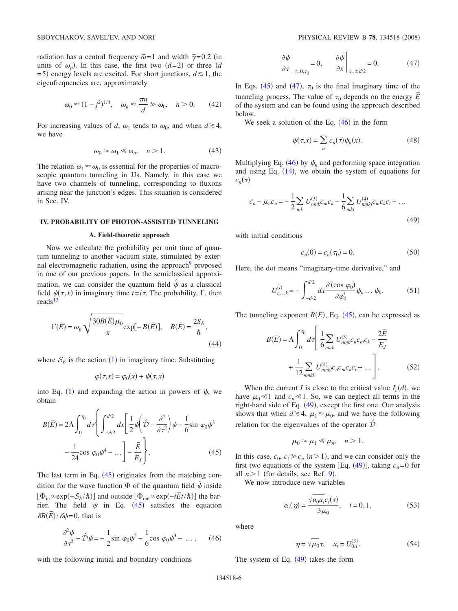radiation has a central frequency  $\bar{\omega} = 1$  and width  $\bar{\gamma} = 0.2$  (in units of  $\omega_p$ ). In this case, the first two  $(d=2)$  or three  $(d=2)$  $=$  5) energy levels are excited. For short junctions,  $d \le 1$ , the eigenfrequencies are, approximately

$$
\omega_0 \approx (1 - j^2)^{1/4}, \quad \omega_n \approx \frac{\pi n}{d} \gg \omega_0, \quad n > 0. \tag{42}
$$

<span id="page-5-6"></span>For increasing values of *d*,  $\omega_1$  tends to  $\omega_0$ , and when  $d \ge 4$ , we have

$$
\omega_0 \approx \omega_1 \ll \omega_n, \quad n > 1. \tag{43}
$$

The relation  $\omega_1 \approx \omega_0$  is essential for the properties of macroscopic quantum tunneling in JJs. Namely, in this case we have two channels of tunneling, corresponding to fluxons arising near the junction's edges. This situation is considered in Sec. IV.

# **IV. PROBABILITY OF PHOTON-ASSISTED TUNNELING**

# **A. Field-theoretic approach**

Now we calculate the probability per unit time of quantum tunneling to another vacuum state, stimulated by external electromagnetic radiation, using the approach<sup>9</sup> proposed in one of our previous papers. In the semiclassical approximation, we can consider the quantum field  $\hat{\psi}$  as a classical field  $\psi(\tau, x)$  in imaginary time  $t = i\tau$ . The probability,  $\Gamma$ , then reads<sup>12</sup>

<span id="page-5-5"></span>
$$
\Gamma(\overline{E}) = \omega_p \sqrt{\frac{30B(\overline{E})\mu_0}{\pi}} \exp[-B(\overline{E})], \quad B(\overline{E}) = \frac{2S_E}{\hbar},
$$
\n(44)

where  $S_E$  is the action ([1](#page-0-1)) in imaginary time. Substituting

$$
\varphi(\tau, x) = \varphi_0(x) + \psi(\tau, x)
$$

into Eq. ([1](#page-0-1)) and expanding the action in powers of  $\psi$ , we obtain

<span id="page-5-0"></span>
$$
B(\overline{E}) = 2\Lambda \int_0^{\tau_0} d\tau \left\{ \int_{-d/2}^{d/2} dx \left[ \frac{1}{2} \psi \left( \hat{\mathcal{D}} - \frac{\partial^2}{\partial \tau^2} \right) \psi - \frac{1}{6} \sin \varphi_0 \psi^3 - \frac{1}{24} \cos \varphi_0 \psi^4 - \dots \right] - \frac{\overline{E}}{E_J} \right\}.
$$
 (45)

The last term in Eq.  $(45)$  $(45)$  $(45)$  originates from the matching condition for the wave function  $\Phi$  of the quantum field  $\hat{\psi}$  inside **interval on the contract of the parameter of the parameter of the bar-**<br>  $[\Phi_{\text{out}} \propto \exp(-iEt/\hbar)]$  the barrier. The field  $\psi$  in Eq. ([45](#page-5-0)) satisfies the equation  $\frac{\partial B(\bar{E})}{\partial \psi} = 0$ , that is

$$
\frac{\partial^2 \psi}{\partial \tau^2} - \hat{\mathcal{D}} \psi = -\frac{1}{2} \sin \varphi_0 \psi^2 - \frac{1}{6} \cos \varphi_0 \psi^3 - \dots, \quad (46)
$$

<span id="page-5-2"></span>with the following initial and boundary conditions

$$
\left. \frac{\partial \psi}{\partial \tau} \right|_{\tau = 0, \tau_0} = 0, \qquad \left. \frac{\partial \psi}{\partial x} \right|_{x = \pm d/2} = 0. \tag{47}
$$

<span id="page-5-1"></span>In Eqs. ([45](#page-5-0)) and ([47](#page-5-1)),  $\tau_0$  is the final imaginary time of the tunneling process. The value of  $\tau_0$  depends on the energy  $\bar{E}$ of the system and can be found using the approach described below.

We seek a solution of the Eq.  $(46)$  $(46)$  $(46)$  in the form

$$
\psi(\tau, x) = \sum_{n} c_n(\tau) \psi_n(x).
$$
 (48)

Multiplying Eq.  $(46)$  $(46)$  $(46)$  by  $\psi_n$  and performing space integration and using Eq.  $(14)$  $(14)$  $(14)$ , we obtain the system of equations for  $c_n(\tau)$ 

<span id="page-5-3"></span>
$$
\ddot{c}_n - \mu_n c_n = -\frac{1}{2} \sum_{mk} U_{nmk}^{(3)} c_m c_k - \frac{1}{6} \sum_{mkl} U_{nmkl}^{(4)} c_m c_k c_l - \dots
$$
\n(49)

with initial conditions

$$
\dot{c}_n(0) = \dot{c}_n(\tau_0) = 0. \tag{50}
$$

<span id="page-5-4"></span>Here, the dot means "imaginary-time derivative," and

$$
U_{n...k}^{(i)} = -\int_{-d/2}^{d/2} dx \frac{\partial^i(\cos \varphi_0)}{\partial \varphi_0^i} \psi_n ... \psi_k.
$$
 (51)

The tunneling exponent  $B(\overline{E})$ , Eq. ([45](#page-5-0)), can be expressed as

$$
B(\overline{E}) = \Lambda \int_0^{\tau_0} d\tau \left[ \frac{1}{6} \sum_{nmk} U_{nmk}^{(3)} c_n c_m c_k - \frac{2\overline{E}}{E_J} + \frac{1}{12} \sum_{nmkl} U_{nmkl}^{(4)} c_n c_m c_k c_l + \dots \right].
$$
 (52)

When the current *I* is close to the critical value  $I_c(d)$ , we have  $\mu_0 \ll 1$  and  $c_n \ll 1$ . So, we can neglect all terms in the right-hand side of Eq. ([49](#page-5-3)), except the first one. Our analysis shows that when  $d \ge 4$ ,  $\mu_1 \approx \mu_0$ , and we have the following relation for the eigenvalues of the operator  $\hat{\mathcal{D}}$ 

$$
\mu_0 \approx \mu_1 \ll \mu_n, \quad n > 1.
$$

In this case,  $c_0$ ,  $c_1 \geq c_n$  ( $n > 1$ ), and we can consider only the first two equations of the system [Eq.  $(49)$  $(49)$  $(49)$ ], taking  $c_n=0$  for all  $n > 1$  (for details, see Ref. [9](#page-8-6)).

We now introduce new variables

$$
\alpha_i(\eta) = \frac{\sqrt{u_0 u_i c_i(\tau)}}{3\mu_0}, \quad i = 0, 1,
$$
\n(53)

where

$$
\eta = \sqrt{\mu_0} \tau, \quad u_i = U_{0ii}^{(3)}.
$$
 (54)

The system of Eq.  $(49)$  $(49)$  $(49)$  takes the form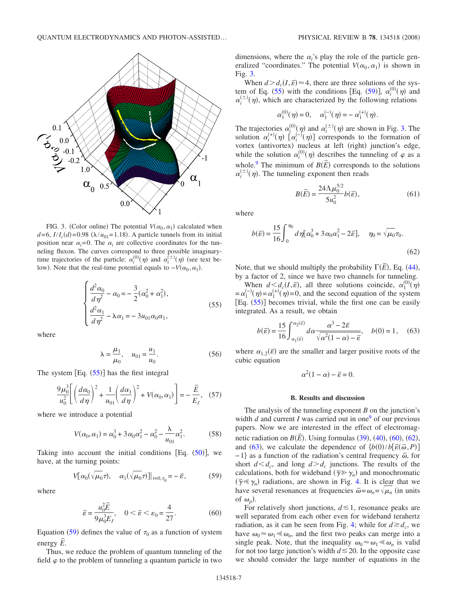<span id="page-6-2"></span>

FIG. 3. (Color online) The potential  $V(\alpha_0, \alpha_1)$  calculated when  $d=6$ ,  $I/I_c(d) = 0.98$  ( $\lambda/u_{01} = 1.18$ ). A particle tunnels from its initial position near  $\alpha_i=0$ . The  $\alpha_i$  are collective coordinates for the tunneling fluxon. The curves correspond to three possible imaginarytime trajectories of the particle:  $\alpha_i^{(0)}(\eta)$  and  $\alpha_i^{(\pm)}(\eta)$  (see text below). Note that the real-time potential equals to  $-V(\alpha_0, \alpha_1)$ .

$$
\begin{cases}\n\frac{d^2\alpha_0}{d\eta^2} - \alpha_0 = -\frac{3}{2}(\alpha_0^2 + \alpha_1^2),\\ \n\frac{d^2\alpha_1}{d\eta^2} - \lambda \alpha_1 = -3u_{01}\alpha_0\alpha_1,\n\end{cases} \tag{55}
$$

<span id="page-6-0"></span>where

$$
\lambda = \frac{\mu_1}{\mu_0}, \quad u_{01} = \frac{u_1}{u_0}.
$$
 (56)

The system  $[Eq. (55)]$  $[Eq. (55)]$  $[Eq. (55)]$  has the first integral

$$
\frac{9\mu_0^3}{u_0^2} \left[ \left(\frac{d\alpha_0}{d\eta}\right)^2 + \frac{1}{u_{01}} \left(\frac{d\alpha_1}{d\eta}\right)^2 + V(\alpha_0, \alpha_1) \right] = -\frac{\overline{E}}{E_J}, \quad (57)
$$

where we introduce a potential

$$
V(\alpha_0, \alpha_1) = \alpha_0^3 + 3\alpha_0 \alpha_1^2 - \alpha_0^2 - \frac{\lambda}{u_{01}} \alpha_1^2.
$$
 (58)

Taking into account the initial conditions [Eq.  $(50)$  $(50)$  $(50)$ ], we have, at the turning points:

$$
V[\alpha_0(\sqrt{\mu_0}\tau), \quad \alpha_1(\sqrt{\mu_0}\tau)]|_{\tau=0, \tau_0} = -\bar{\varepsilon}, \tag{59}
$$

<span id="page-6-1"></span>where

$$
\overline{\varepsilon} = \frac{u_0^2 \overline{E}}{9 \mu_0^3 E_J}, \quad 0 < \overline{\varepsilon} < \varepsilon_0 = \frac{4}{27}.\tag{60}
$$

<span id="page-6-3"></span>Equation ([59](#page-6-1)) defines the value of  $\tau_0$  as a function of system  $\overline{E}$  energy  $\overline{E}$ .

Thus, we reduce the problem of quantum tunneling of the field  $\varphi$  to the problem of tunneling a quantum particle in two

dimensions, where the  $\alpha$ <sup>'</sup> s play the role of the particle generalized "coordinates." The potential  $V(\alpha_0, \alpha_1)$  is shown in Fig. [3.](#page-6-2)

When  $d > d_c(I, \bar{\varepsilon}) \approx 4$ , there are three solutions of the sys-tem of Eq. ([55](#page-6-0)) with the conditions [Eq. ([59](#page-6-1))],  $\alpha_i^{(0)}(\eta)$  and  $\alpha_i^{(\pm)}(\eta)$ , which are characterized by the following relations

$$
\alpha_1^{(0)}(\eta) = 0, \quad \alpha_1^{(-)}(\eta) = -\alpha_1^{(+)}(\eta).
$$

The trajectories  $\alpha_i^{(0)}(\eta)$  and  $\alpha_i^{(\pm)}(\eta)$  are shown in Fig. [3.](#page-6-2) The solution  $\alpha_i^{(+)}(\eta)$   $[\alpha_i^{(-)}(\eta)]$  corresponds to the formation of vortex (antivortex) nucleus at left (right) junction's edge, while the solution  $\alpha_i^{(0)}(\eta)$  describes the tunneling of  $\varphi$  as a whole.<sup>9</sup> The minimum of  $B(\overline{E})$  corresponds to the solutions  $\alpha_i^{(\pm)}(\eta)$ . The tunneling exponent then reads

$$
B(\bar{E}) = \frac{24\Lambda\mu_0^{5/2}}{5u_0^2}b(\bar{\varepsilon}),
$$
\n(61)

where

<span id="page-6-4"></span>
$$
b(\vec{\varepsilon}) = \frac{15}{16} \int_0^{\eta_0} d\eta [\alpha_0^3 + 3\alpha_0 \alpha_1^2 - 2\vec{\varepsilon}], \quad \eta_0 = \sqrt{\mu_0} \tau_0.
$$
\n(62)

Note, that we should multiply the probability  $\Gamma(\overline{E})$ , Eq. ([44](#page-5-5)), by a factor of 2, since we have two channels for tunneling.

When  $d \leq d_c(I, \bar{\varepsilon})$ , all three solutions coincide,  $\alpha_1^{(0)}(\eta)$  $=\alpha_1^{(-)}(\eta) = \alpha_1^{(+)}(\eta) = 0$ , and the second equation of the system  $[Eq. (55)]$  $[Eq. (55)]$  $[Eq. (55)]$  becomes trivial, while the first one can be easily integrated. As a result, we obtain

$$
b(\overline{\varepsilon}) = \frac{15}{16} \int_{\alpha_1(\overline{\varepsilon})}^{\alpha_2(\overline{\varepsilon})} d\alpha \frac{\alpha^3 - 2\overline{\varepsilon}}{\sqrt{\alpha^2 (1 - \alpha) - \overline{\varepsilon}}}, \quad b(0) = 1, \quad (63)
$$

<span id="page-6-5"></span>where  $\alpha_{1,2}(\bar{\varepsilon})$  are the smaller and larger positive roots of the cubic equation

 $\alpha^2(1-\alpha) - \bar{\varepsilon} = 0.$ 

#### **B. Results and discussion**

The analysis of the tunneling exponent *B* on the junction's width *d* and current *I* was carried out in one<sup>9</sup> of our previous papers. Now we are interested in the effect of electromagnetic radiation on  $B(\overline{E})$ . Using formulas ([39](#page-4-5)), ([40](#page-4-2)), ([60](#page-6-3)), ([62](#page-6-4)), and ([63](#page-6-5)), we calculate the dependence of  $\{b(0)/b[\bar{\varepsilon}(\bar{\omega},P)]\}$ −1} as a function of the radiation's central frequency  $\bar{\omega}$ , for short  $d \leq d_c$ , and long  $d \geq d_c$  junctions. The results of the calculations, both for wideband  $(\bar{\gamma} \geq \gamma_n)$  and monochromatic  $(\bar{\gamma} \ll \gamma_n)$  radiations, are shown in Fig. [4.](#page-7-0) It is clear that we have several resonances at frequencies  $\bar{\omega} = \omega_n = \sqrt{\mu_n}$  (in units of  $\omega_p$ ).

For relatively short junctions,  $d \leq 1$ , resonance peaks are well separated from each other even for wideband terahertz radiation, as it can be seen from Fig. [4;](#page-7-0) while for  $d \ge d_c$ , we have  $\omega_0 \approx \omega_1 \ll \omega_n$ , and the first two peaks can merge into a single peak. Note, that the inequality  $\omega_0 \approx \omega_1 \ll \omega_n$  is valid for not too large junction's width  $d \le 20$ . In the opposite case we should consider the large number of equations in the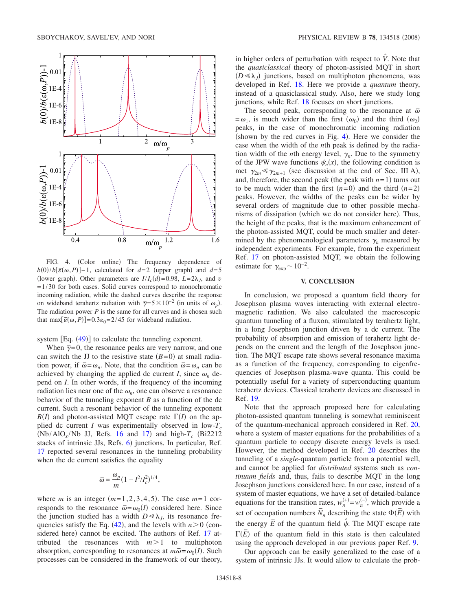<span id="page-7-0"></span>

FIG. 4. (Color online) The frequency dependence of  $b(0)/b[\bar{\varepsilon}(\omega, P)]-1$ , calculated for  $d=2$  (upper graph) and  $d=5$ (lower graph). Other parameters are  $I/I_c(d) = 0.98$ ,  $L = 2\lambda_J$ , and *v*  $=1/30$  for both cases. Solid curves correspond to monochromatic incoming radiation, while the dashed curves describe the response on wideband terahertz radiation with  $\bar{\gamma} = 5 \times 10^{-2}$  (in units of  $\omega_p$ ). The radiation power *P* is the same for all curves and is chosen such that max $\left[\overline{\varepsilon}(\omega, P)\right] = 0.3 \varepsilon_0 = 2/45$  for wideband radiation.

system  $[Eq. (49)]$  $[Eq. (49)]$  $[Eq. (49)]$  to calculate the tunneling exponent.

When  $\bar{\gamma}=0$ , the resonance peaks are very narrow, and one can switch the JJ to the resistive state  $(B=0)$  at small radiation power, if  $\bar{\omega} = \omega_n$ . Note, that the condition  $\bar{\omega} = \omega_n$  can be achieved by changing the applied dc current *I*, since  $\omega_n$  depend on *I*. In other words, if the frequency of the incoming radiation lies near one of the  $\omega_n$ , one can observe a resonance behavior of the tunneling exponent *B* as a function of the dc current. Such a resonant behavior of the tunneling exponent  $B(I)$  and photon-assisted MQT escape rate  $\Gamma(I)$  on the applied dc current *I* was experimentally observed in low- $T_c$  $(Nb/AlO<sub>x</sub>/Nb JJ, Refs. 16 and 17)$  $(Nb/AlO<sub>x</sub>/Nb JJ, Refs. 16 and 17)$  $(Nb/AlO<sub>x</sub>/Nb JJ, Refs. 16 and 17)$  $(Nb/AlO<sub>x</sub>/Nb JJ, Refs. 16 and 17)$  $(Nb/AlO<sub>x</sub>/Nb JJ, Refs. 16 and 17)$  and high- $T_c$  (Bi2212) stacks of intrinsic JJs, Refs. [6](#page-8-3)) junctions. In particular, Ref. [17](#page-8-14) reported several resonances in the tunneling probability when the dc current satisfies the equality

$$
\overline{\omega} = \frac{\omega_p}{m} (1 - I^2 / I_c^2)^{1/4},
$$

where *m* is an integer  $(m=1,2,3,4,5)$ . The case  $m=1$  corresponds to the resonance  $\bar{\omega} = \omega_0(I)$  considered here. Since the junction studied has a width  $D \ll \lambda_i$ , its resonance frequencies satisfy the Eq.  $(42)$  $(42)$  $(42)$ , and the levels with  $n>0$  (con-sidered here) cannot be excited. The authors of Ref. [17](#page-8-14) attributed the resonances with  $m>1$  to multiphoton absorption, corresponding to resonances at  $m\bar{\omega} = \omega_0(I)$ . Such processes can be considered in the framework of our theory,

in higher orders of perturbation with respect to  $\hat{V}$ . Note that the *quasiclassical* theory of photon-assisted MQT in short  $(D \ll \lambda_J)$  junctions, based on multiphoton phenomena, was developed in Ref. [18.](#page-8-15) Here we provide a *quantum* theory, instead of a quasiclassical study. Also, here we study long junctions, while Ref. [18](#page-8-15) focuses on short junctions.

The second peak, corresponding to the resonance at  $\bar{\omega}$  $=\omega_1$ , is much wider than the first  $(\omega_0)$  and the third  $(\omega_2)$ peaks, in the case of monochromatic incoming radiation (shown by the red curves in Fig.  $4$ ). Here we consider the case when the width of the *n*th peak is defined by the radiation width of the *n*th energy level,  $\gamma_n$ . Due to the symmetry of the JPW wave functions  $\psi_n(x)$ , the following condition is met  $\gamma_{2m} \ll \gamma_{2m+1}$  (see discussion at the end of Sec. III A), and, therefore, the second peak (the peak with  $n=1$ ) turns out to be much wider than the first  $(n=0)$  and the third  $(n=2)$ peaks. However, the widths of the peaks can be wider by several orders of magnitude due to other possible mechanisms of dissipation (which we do not consider here). Thus, the height of the peaks, that is the maximum enhancement of the photon-assisted MQT, could be much smaller and determined by the phenomenological parameters  $\gamma$ <sub>n</sub> measured by independent experiments. For example, from the experiment Ref. [17](#page-8-14) on photon-assisted MQT, we obtain the following estimate for  $\gamma_{\rm exp}$  ~ 10<sup>-2</sup>.

# **V. CONCLUSION**

In conclusion, we proposed a quantum field theory for Josephson plasma waves interacting with external electromagnetic radiation. We also calculated the macroscopic quantum tunneling of a fluxon, stimulated by terahertz light, in a long Josephson junction driven by a dc current. The probability of absorption and emission of terahertz light depends on the current and the length of the Josephson junction. The MQT escape rate shows several resonance maxima as a function of the frequency, corresponding to eigenfrequencies of Josephson plasma-wave quanta. This could be potentially useful for a variety of superconducting quantum terahertz devices. Classical terahertz devices are discussed in Ref. [19.](#page-8-16)

Note that the approach proposed here for calculating photon-assisted quantum tunneling is somewhat reminiscent of the quantum-mechanical approach considered in Ref. [20,](#page-8-17) where a system of master equations for the probabilities of a quantum particle to occupy discrete energy levels is used. However, the method developed in Ref. [20](#page-8-17) describes the tunneling of a *single*-quantum particle from a potential well, and cannot be applied for *distributed* systems such as *continuum fields* and, thus, fails to describe MQT in the long Josephson junctions considered here. In our case, instead of a system of master equations, we have a set of detailed-balance equations for the transition rates,  $w_n^{(+)} = w_n^{(-)}$ , which provide a set of occupation numbers  $\overline{N}_n$  describing the state  $\Phi(\overline{E})$  with the energy  $\overline{E}$  of the quantum field  $\hat{\psi}$ . The MQT escape rate  $\Gamma(\overline{E})$  of the quantum field in this state is then calculated using the approach developed in our previous paper Ref. [9.](#page-8-6)

Our approach can be easily generalized to the case of a system of intrinsic JJs. It would allow to calculate the prob